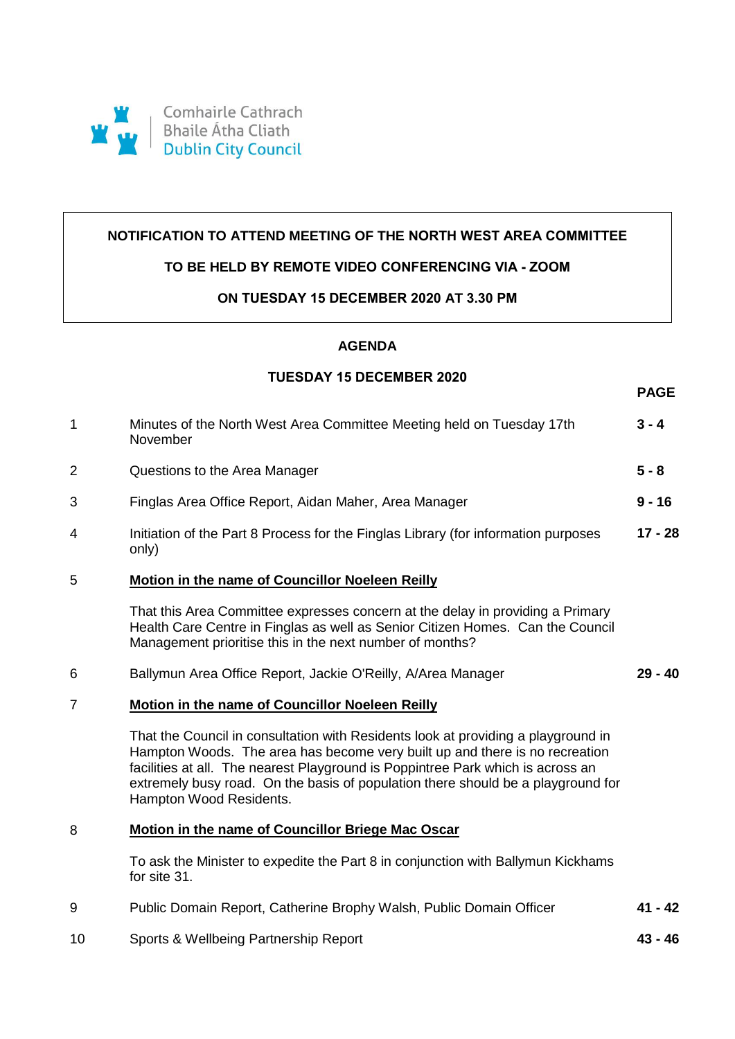

## **NOTIFICATION TO ATTEND MEETING OF THE NORTH WEST AREA COMMITTEE**

## **TO BE HELD BY REMOTE VIDEO CONFERENCING VIA - ZOOM**

#### **ON TUESDAY 15 DECEMBER 2020 AT 3.30 PM**

# **AGENDA**

## **TUESDAY 15 DECEMBER 2020**

**PAGE**

| $\mathbf{1}$   | Minutes of the North West Area Committee Meeting held on Tuesday 17th<br>November                                                                                                                                                                                                                                                                                  | $3 - 4$   |
|----------------|--------------------------------------------------------------------------------------------------------------------------------------------------------------------------------------------------------------------------------------------------------------------------------------------------------------------------------------------------------------------|-----------|
| $\overline{2}$ | Questions to the Area Manager                                                                                                                                                                                                                                                                                                                                      | $5 - 8$   |
| 3              | Finglas Area Office Report, Aidan Maher, Area Manager                                                                                                                                                                                                                                                                                                              | $9 - 16$  |
| 4              | Initiation of the Part 8 Process for the Finglas Library (for information purposes<br>only)                                                                                                                                                                                                                                                                        | $17 - 28$ |
| 5              | Motion in the name of Councillor Noeleen Reilly                                                                                                                                                                                                                                                                                                                    |           |
|                | That this Area Committee expresses concern at the delay in providing a Primary<br>Health Care Centre in Finglas as well as Senior Citizen Homes. Can the Council<br>Management prioritise this in the next number of months?                                                                                                                                       |           |
| 6              | Ballymun Area Office Report, Jackie O'Reilly, A/Area Manager                                                                                                                                                                                                                                                                                                       | $29 - 40$ |
| $\overline{7}$ | Motion in the name of Councillor Noeleen Reilly                                                                                                                                                                                                                                                                                                                    |           |
|                | That the Council in consultation with Residents look at providing a playground in<br>Hampton Woods. The area has become very built up and there is no recreation<br>facilities at all. The nearest Playground is Poppintree Park which is across an<br>extremely busy road. On the basis of population there should be a playground for<br>Hampton Wood Residents. |           |
| 8              | Motion in the name of Councillor Briege Mac Oscar                                                                                                                                                                                                                                                                                                                  |           |
|                | To ask the Minister to expedite the Part 8 in conjunction with Ballymun Kickhams<br>for site 31.                                                                                                                                                                                                                                                                   |           |
| 9              | Public Domain Report, Catherine Brophy Walsh, Public Domain Officer                                                                                                                                                                                                                                                                                                | $41 - 42$ |
| 10             | Sports & Wellbeing Partnership Report                                                                                                                                                                                                                                                                                                                              | $43 - 46$ |
|                |                                                                                                                                                                                                                                                                                                                                                                    |           |